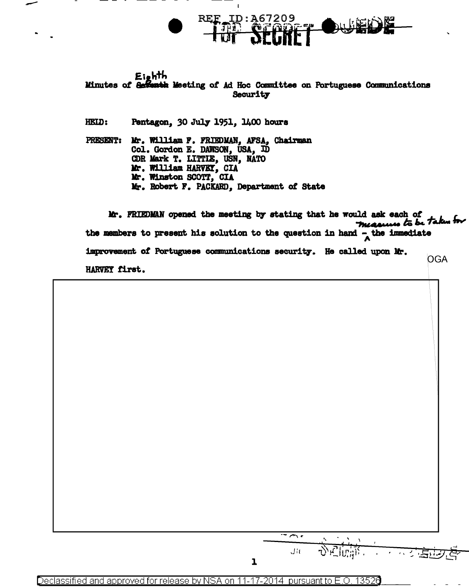

<u>REF\_ID:A67209</u>

HEID: Pentagon, 30 July 1951, 1400 hours

Mr. William F. FRIEDMAN, AFSA, Chairman PRESENT: Col. Gordon E. DAWSON, USA, ID CDR Mark T. LITTIE, USN, NATO Mr. William HARVEY, CIA Mr. Winston SCOTT, CIA Mr. Robert F. PACKARD, Department of State

Mr. FRIEDMAN opened the meeting by stating that he would ask each of measures to be taken for the members to present his solution to the question in hand  $-\Delta$  the immediate improvement of Portuguese communications security. He called upon Mr. OGA. HARVEY first.

 $\overline{\mathcal{L}}$ JIt  $\overline{\mathbf{I}}$ 

Declassified and approved for release by NSA on 11-17-2014 pursuant to E.O. 13526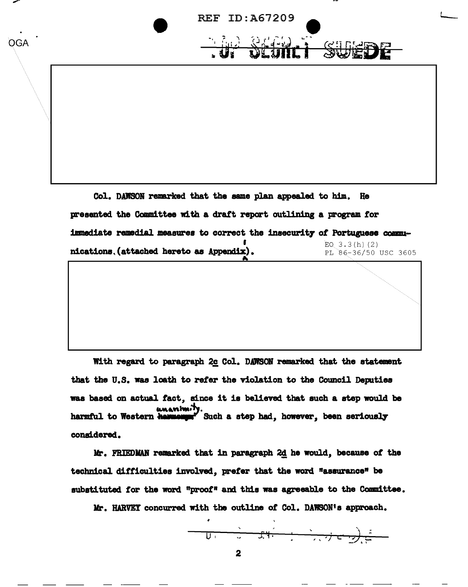

presented the Committee with a draft report outlining a program for immediate remedial measures to correct the insecurity of Portuguese commu-EO.  $3.3(h)$  (2) nications. (attached hereto as Appendix). PL 86-36/50 USC 3605

With regard to paragraph 2c Col. DAWSON remarked that the statement that the U.S. was loath to refer the violation to the Council Deputies was based on actual fact, since it is believed that such a step would be w Such a step had, however, been seriously harmful to Western hawwe considered.

Mr. FRIEDMAN remarked that in paragraph 2d he would, because of the technical difficulties involved, prefer that the word "assurance" be substituted for the word "proof" and this was agreeable to the Committee.

Mr. HARVEY concurred with the outline of Col. DAWSON's approach.

$$
\mathbf{U} = \mathbf{U} + \mathbf{U} + \mathbf{U} + \mathbf{U} + \mathbf{U} + \mathbf{U} + \mathbf{U} + \mathbf{U} + \mathbf{U} + \mathbf{U} + \mathbf{U} + \mathbf{U} + \mathbf{U} + \mathbf{U} + \mathbf{U} + \mathbf{U} + \mathbf{U} + \mathbf{U} + \mathbf{U} + \mathbf{U} + \mathbf{U} + \mathbf{U} + \mathbf{U} + \mathbf{U} + \mathbf{U} + \mathbf{U} + \mathbf{U} + \mathbf{U} + \mathbf{U} + \mathbf{U} + \mathbf{U} + \mathbf{U} + \mathbf{U} + \mathbf{U} + \mathbf{U} + \mathbf{U} + \mathbf{U} + \mathbf{U} + \mathbf{U} + \mathbf{U} + \mathbf{U} + \mathbf{U} + \mathbf{U} + \mathbf{U} + \mathbf{U} + \mathbf{U} + \mathbf{U} + \mathbf{U} + \mathbf{U} + \mathbf{U} + \mathbf{U} + \mathbf{U} + \mathbf{U} + \mathbf{U} + \mathbf{U} + \mathbf{U} + \mathbf{U} + \mathbf{U} + \mathbf{U} + \mathbf{U} + \mathbf{U} + \mathbf{U} + \mathbf{U} + \mathbf{U} + \mathbf{U} + \mathbf{U} + \mathbf{U} + \mathbf{U} + \mathbf{U} + \mathbf{U} + \mathbf{U} + \mathbf{U} + \mathbf{U} + \mathbf{U} + \mathbf{U} + \mathbf{U} + \mathbf{U} + \mathbf{U} + \mathbf{U} + \mathbf{U} + \mathbf{U} + \mathbf{U} + \mathbf{U} + \mathbf{U} + \mathbf{U} + \mathbf{U} + \mathbf{U} + \mathbf{U} + \mathbf{U} + \mathbf{U} + \mathbf{U} + \mathbf{U} + \mathbf{U} + \mathbf{U} + \mathbf{U} + \mathbf{U} + \mathbf{U} + \mathbf{U} + \mathbf{U} + \mathbf{U} + \mathbf{U} + \mathbf{U} + \mathbf{U} + \mathbf{U} + \mathbf{U} + \mathbf{U} + \mathbf{U} + \mathbf{
$$

 $\overline{2}$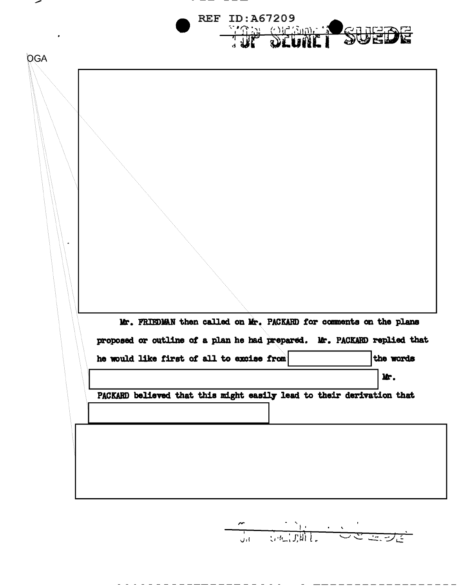|     |                                                                       |                                                                   | <b>REF ID: A67209</b> |  |                                                                         |  |
|-----|-----------------------------------------------------------------------|-------------------------------------------------------------------|-----------------------|--|-------------------------------------------------------------------------|--|
|     |                                                                       |                                                                   | THE OLONE SUEDE       |  |                                                                         |  |
| OGA |                                                                       |                                                                   |                       |  |                                                                         |  |
|     |                                                                       |                                                                   |                       |  |                                                                         |  |
|     |                                                                       |                                                                   |                       |  |                                                                         |  |
|     |                                                                       |                                                                   |                       |  |                                                                         |  |
|     |                                                                       |                                                                   |                       |  |                                                                         |  |
|     |                                                                       |                                                                   |                       |  |                                                                         |  |
|     |                                                                       |                                                                   |                       |  |                                                                         |  |
|     |                                                                       |                                                                   |                       |  |                                                                         |  |
|     |                                                                       |                                                                   |                       |  |                                                                         |  |
|     |                                                                       |                                                                   |                       |  |                                                                         |  |
|     |                                                                       |                                                                   |                       |  |                                                                         |  |
|     |                                                                       |                                                                   |                       |  |                                                                         |  |
|     |                                                                       |                                                                   |                       |  |                                                                         |  |
|     |                                                                       |                                                                   |                       |  |                                                                         |  |
|     |                                                                       | Mr. FRIEDMAN then called on Mr. PACKARD for comments on the plans |                       |  |                                                                         |  |
|     |                                                                       |                                                                   |                       |  | proposed or outline of a plan he had prepared. Mr. PACKARD replied that |  |
|     |                                                                       |                                                                   |                       |  |                                                                         |  |
|     | he would like first of all to excise from                             |                                                                   |                       |  | the words                                                               |  |
|     |                                                                       |                                                                   |                       |  | Mr.                                                                     |  |
|     | PACKARD believed that this might easily lead to their derivation that |                                                                   |                       |  |                                                                         |  |
|     |                                                                       |                                                                   |                       |  |                                                                         |  |
|     |                                                                       |                                                                   |                       |  |                                                                         |  |
|     |                                                                       |                                                                   |                       |  |                                                                         |  |
|     |                                                                       |                                                                   |                       |  |                                                                         |  |

للمسر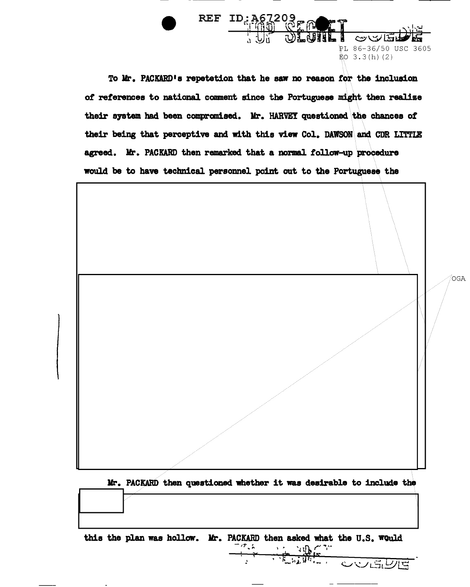To Mr. PACKARD's repetetion that he saw no reason for the inclusion of references to national comment since the Portuguese might then realize their system had been compromised. Mr. HARVEY questioned the chances of their being that perceptive and with this view Col. DAWSON and CDR LITTLE agreed. Mr. PACKARD then remarked that a normal follow-up procedure would be to have technical personnel point out to the Portuguese the

REF ID: 367203

PL 86-36/50 USC 3605

 $$0\;3.3(h)(2)$ 



Mr. PACKARD then questioned whether it was desirable to include the

this the plan was hollow. Mr. PACKARD then asked what the U.S. Would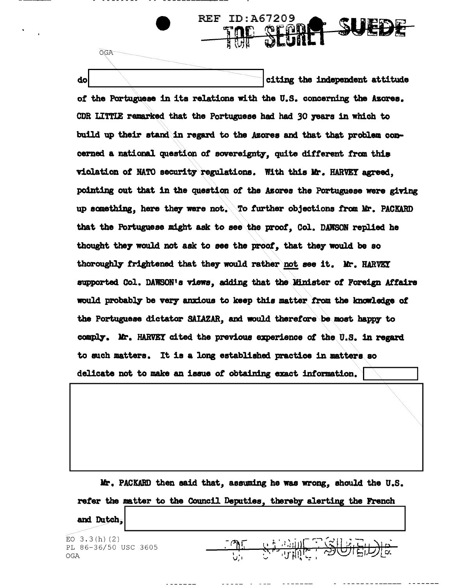citing the independent attitude do of the Portuguese in its relations with the U.S. concerning the Azores. CDR LITTLE remarked that the Portuguese had had 30 years in which to build up their stand in regard to the Azores and that that problem concerned a national question of sovereignty, quite different from this violation of NATO security regulations. With this Mr. HARVEY agreed. pointing out that in the question of the Asores the Portuguese were giving up something, here they were not. To further objections from Mr. PACKARD that the Portuguese might ask to see the proof. Col. DAWSON replied he thought they would not ask to see the proof, that they would be so thoroughly frightened that they would rather not see it. Mr. HARVEY supported Col. DAWSON's views, adding that the Minister of Foreign Affairs would probably be very anxious to keep this matter from the knowledge of the Portuguese dictator SAIAZAR, and would therefore be most happy to comply. Mr. HARVEY cited the previous experience of the U.S. in regard to such matters. It is a long established practice in matters so delicate not to make an issue of obtaining exact information.

**REF ID:A67209** 

SU

Mr. PACKARD then said that, assuming he was wrong, should the U.S. refer the matter to the Council Deputies, thereby alerting the French and Dutch.

 $\begin{picture}(120,10) \put(0,0){\vector(1,0){100}} \put(15,0){\vector(1,0){100}} \put(15,0){\vector(1,0){100}} \put(15,0){\vector(1,0){100}} \put(15,0){\vector(1,0){100}} \put(15,0){\vector(1,0){100}} \put(15,0){\vector(1,0){100}} \put(15,0){\vector(1,0){100}} \put(15,0){\vector(1,0){100}} \put(15,0){\vector(1,0){100}} \put(15,0){\vector(1,0){100}}$ 

 $-3607$ 

EO  $3.3(h)(2)$ PL 86-36/50 USC 3605 **OGA** 

**OGA**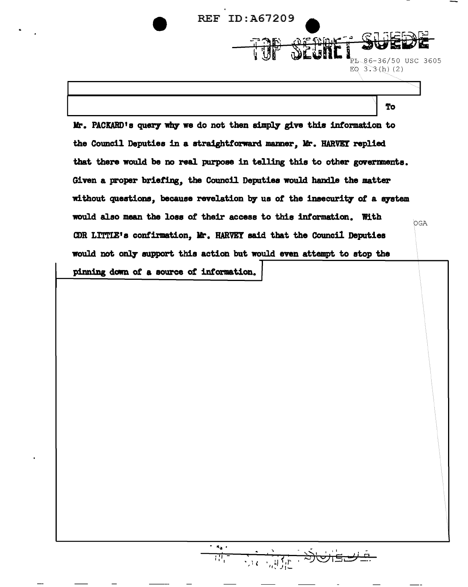

without questions, because revelation by us of the insecurity of a system

OGA

would also mean the loss of their access to this information. With

CDR LITTLE's confirmation, Mr. HARVEY said that the Council Deputies

would not only support this action but would even attempt to stop the

pinning down of a source of information.

 $\overline{W_i}$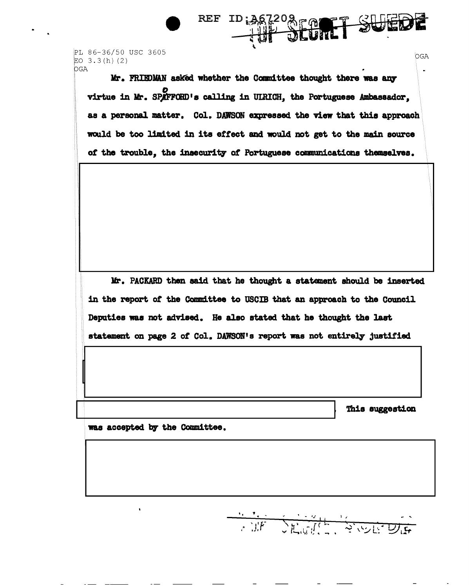PL 86-36/50 USC 3605 EO  $3.3(h)$  (2) **OGA** 

> Mr. FRIEDMAN asked whether the Committee thought there was any virtue in Mr. SPAFFORD's calling in UIRICH, the Portuguese Ambassador, as a personal matter. Col. DAWSON expressed the view that this approach would be too limited in its effect and would not get to the main source of the trouble, the insecurity of Portuguese communications themselves.

REF

**ID: 367208 FQ** 

Mr. PACKARD then said that he thought a statement should be inserted in the report of the Committee to USCIB that an approach to the Council Deputies was not advised. He also stated that he thought the last statement on page 2 of Col. DAWSON's report was not entirely justified

This suggestion

OGA

was accepted by the Committee.

**CONFIDENTIAL REPORT**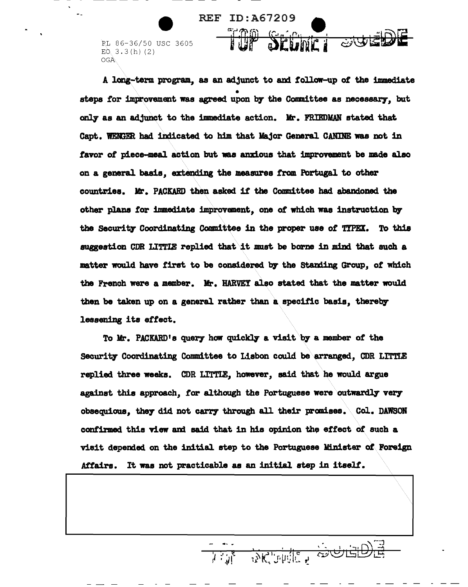PL 86-36/50 USC 3605 E0.3.3(h)(2) OGA.

A long-term program, as an adjunct to and follow-up *ot* the immediate steps for improvement was agreed upon by the Committee as necessary, but only as an adjunct to the immediate action. Mr. FRIEDMAN stated that Capt. WENGER had indicated to him that Major General CANINE was not in favor of piece-meal action but was anxious that improvement be made also on a general basis, extending the measures from Portugal to other countries. Mr. PACKARD then asked if the Committee had abandoned the other plans for immediate improvement, one of which was instruction by the Security Coordinating Committee in the proper use of TIPEX. To this suggestion CDR LITTIB replied that\it must be borne in mind that such a matter would have first to be considered by the Standing Group, of which the French were a member. Mr. HARVEY also stated that the matter would then be taken up on a general rather than aspecitic basis, thereby lessening its effect.

**REF ID: A67209** 

To Mr. PACKARD's query how quickly a visit by a member of the Security Coordinating Committee to Lisbon could be arranged, CDR LITTLE replied three weeks. CDR LITTIE, however, said that he would argue against this approach, for although the Portuguese were outwardly very obsequious, they did not carry through all their promises. Col. DAWSON confirmed this view and said that in his opinion the effect of such a visit depended on the initial step to the Portuguese Minister of Foreign Affairs. It was not practicable as an initial step in itself.

 $\searrow$  .

- .....  $1 + \epsilon$  $i'$  '  $j$   $\mid$ 

 $\frac{1}{100}$